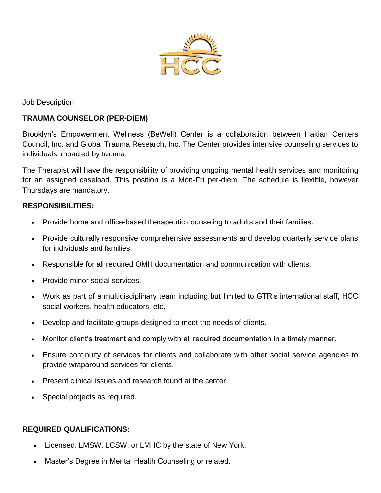

Job Description

# **TRAUMA COUNSELOR (PER-DIEM)**

Brooklyn's Empowerment Wellness (BeWell) Center is a collaboration between Haitian Centers Council, Inc. and Global Trauma Research, Inc. The Center provides intensive counseling services to individuals impacted by trauma.

The Therapist will have the responsibility of providing ongoing mental health services and monitoring for an assigned caseload. This position is a Mon-Fri per-diem. The schedule is flexible, however Thursdays are mandatory.

### **RESPONSIBILITIES:**

- Provide home and office-based therapeutic counseling to adults and their families.
- Provide culturally responsive comprehensive assessments and develop quarterly service plans for individuals and families.
- Responsible for all required OMH documentation and communication with clients.
- Provide minor social services.
- Work as part of a multidisciplinary team including but limited to GTR's international staff, HCC social workers, health educators, etc.
- Develop and facilitate groups designed to meet the needs of clients.
- Monitor client's treatment and comply with all required documentation in a timely manner.
- Ensure continuity of services for clients and collaborate with other social service agencies to provide wraparound services for clients.
- Present clinical issues and research found at the center.
- Special projects as required.

## **REQUIRED QUALIFICATIONS:**

- Licensed: LMSW, LCSW, or LMHC by the state of New York.
- Master's Degree in Mental Health Counseling or related.